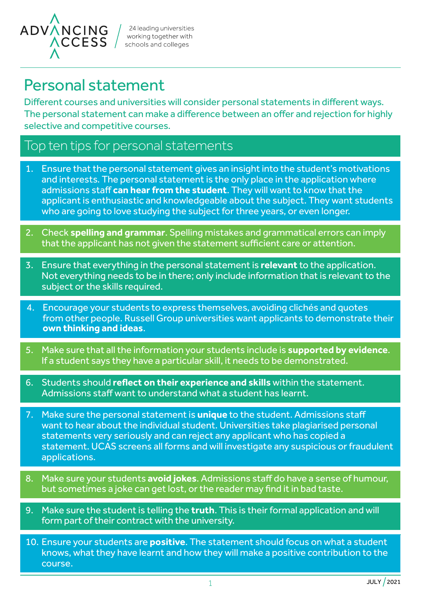

24 leading universities working together with schools and colleges

# Personal statement

Different courses and universities will consider personal statements in different ways. The personal statement can make a difference between an offer and rejection for highly selective and competitive courses.

### Top ten tips for personal statements

- 1. Ensure that the personal statement gives an insight into the student's motivations and interests. The personal statement is the only place in the application where admissions staff **can hear from the student**. They will want to know that the applicant is enthusiastic and knowledgeable about the subject. They want students who are going to love studying the subject for three years, or even longer.
- 2. Check **spelling and grammar**. Spelling mistakes and grammatical errors can imply that the applicant has not given the statement sufficient care or attention.
- 3. Ensure that everything in the personal statement is **relevant** to the application. Not everything needs to be in there; only include information that is relevant to the subject or the skills required.
- 4. Encourage your students to express themselves, avoiding clichés and quotes from other people. Russell Group universities want applicants to demonstrate their **own thinking and ideas**.
- 5. Make sure that all the information your students include is **supported by evidence**. If a student says they have a particular skill, it needs to be demonstrated.
- 6. Students should **reflect on their experience and skills** within the statement. Admissions staff want to understand what a student has learnt.
- 7. Make sure the personal statement is **unique** to the student. Admissions staff want to hear about the individual student. Universities take plagiarised personal statements very seriously and can reject any applicant who has copied a statement. UCAS screens all forms and will investigate any suspicious or fraudulent applications.
- 8. Make sure your students **avoid jokes**. Admissions staff do have a sense of humour, but sometimes a joke can get lost, or the reader may find it in bad taste.
- 9. Make sure the student is telling the **truth**. This is their formal application and will form part of their contract with the university.
- 10. Ensure your students are **positive**. The statement should focus on what a student knows, what they have learnt and how they will make a positive contribution to the course.